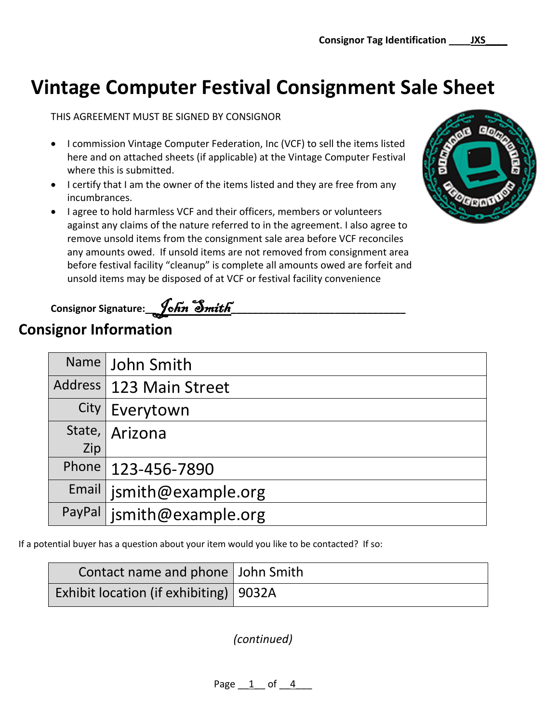# **Vintage Computer Festival Consignment Sale Sheet**

THIS AGREEMENT MUST BE SIGNED BY CONSIGNOR

- I commission Vintage Computer Federation, Inc (VCF) to sell the items listed here and on attached sheets (if applicable) at the Vintage Computer Festival where this is submitted.
- I certify that I am the owner of the items listed and they are free from any incumbrances.
- I agree to hold harmless VCF and their officers, members or volunteers against any claims of the nature referred to in the agreement. I also agree to remove unsold items from the consignment sale area before VCF reconciles any amounts owed. If unsold items are not removed from consignment area before festival facility "cleanup" is complete all amounts owed are forfeit and unsold items may be disposed of at VCF or festival facility convenience



| Consignor Signature: <i>John Smith</i> |  |
|----------------------------------------|--|
|                                        |  |

## **Consignor Information**

| Name | <b>John Smith</b>           |
|------|-----------------------------|
|      | Address   123 Main Street   |
|      | City   Everytown            |
|      | State, Arizona              |
| Zip  |                             |
|      | Phone   123-456-7890        |
|      | Email   jsmith@example.org  |
|      | PayPal   jsmith@example.org |

If a potential buyer has a question about your item would you like to be contacted? If so:

| Contact name and phone   John Smith      |  |
|------------------------------------------|--|
| Exhibit location (if exhibiting)   9032A |  |

*(continued)*

Page 1 of 4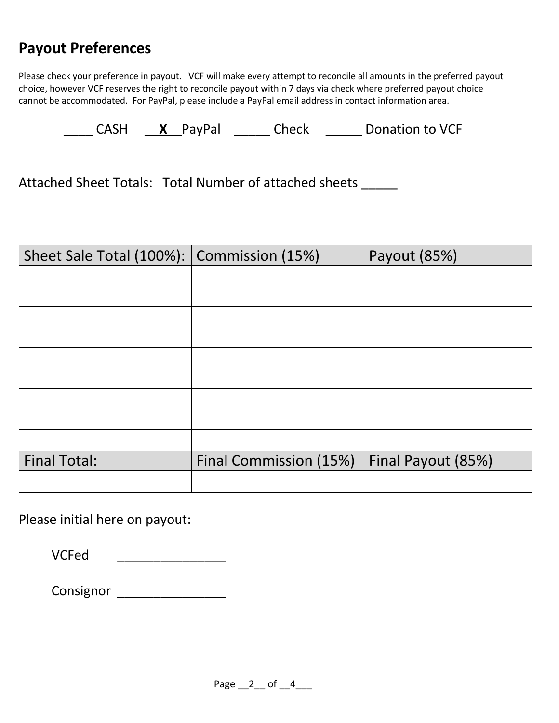## **Payout Preferences**

Please check your preference in payout. VCF will make every attempt to reconcile all amounts in the preferred payout choice, however VCF reserves the right to reconcile payout within 7 days via check where preferred payout choice cannot be accommodated. For PayPal, please include a PayPal email address in contact information area.

\_\_\_\_ CASH \_\_**X**\_\_PayPal \_\_\_\_\_ Check \_\_\_\_\_ Donation to VCF

Attached Sheet Totals: Total Number of attached sheets \_\_\_\_\_

| Sheet Sale Total (100%): Commission (15%) |                        | Payout (85%)       |
|-------------------------------------------|------------------------|--------------------|
|                                           |                        |                    |
|                                           |                        |                    |
|                                           |                        |                    |
|                                           |                        |                    |
|                                           |                        |                    |
|                                           |                        |                    |
|                                           |                        |                    |
|                                           |                        |                    |
|                                           |                        |                    |
| <b>Final Total:</b>                       | Final Commission (15%) | Final Payout (85%) |
|                                           |                        |                    |

Please initial here on payout:

| <b>VCFed</b> |  |
|--------------|--|
|              |  |

Consignor \_\_\_\_\_\_\_\_\_\_\_\_\_\_\_\_\_\_\_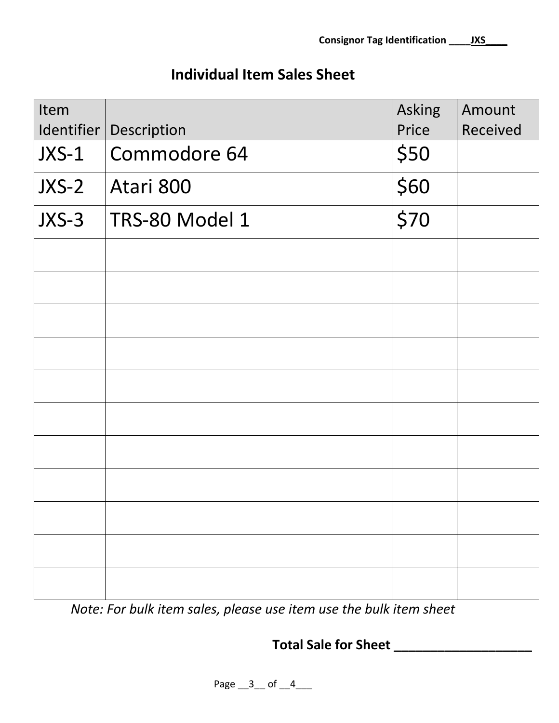### **Individual Item Sales Sheet**

| Item  |                          | Asking | Amount   |
|-------|--------------------------|--------|----------|
|       | Identifier   Description | Price  | Received |
| JXS-1 | Commodore 64             | \$50   |          |
| JXS-2 | Atari 800                | \$60   |          |
| JXS-3 | TRS-80 Model 1           | \$70   |          |
|       |                          |        |          |
|       |                          |        |          |
|       |                          |        |          |
|       |                          |        |          |
|       |                          |        |          |
|       |                          |        |          |
|       |                          |        |          |
|       |                          |        |          |
|       |                          |        |          |
|       |                          |        |          |
|       |                          |        |          |

*Note: For bulk item sales, please use item use the bulk item sheet*

**Total Sale for Sheet \_\_\_\_\_\_\_\_\_\_\_\_\_\_\_\_\_\_\_**